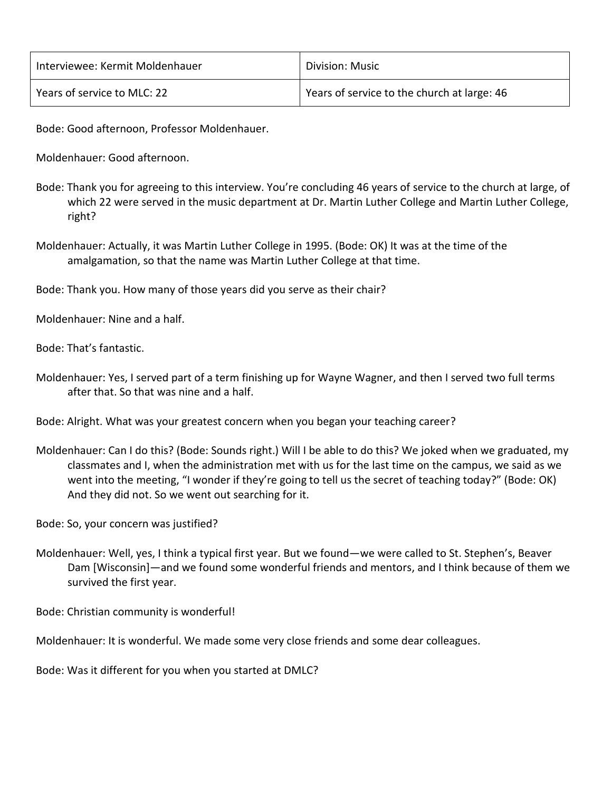| Interviewee: Kermit Moldenhauer | Division: Music                             |
|---------------------------------|---------------------------------------------|
| Years of service to MLC: 22     | Years of service to the church at large: 46 |

Bode: Good afternoon, Professor Moldenhauer.

Moldenhauer: Good afternoon.

- Bode: Thank you for agreeing to this interview. You're concluding 46 years of service to the church at large, of which 22 were served in the music department at Dr. Martin Luther College and Martin Luther College, right?
- Moldenhauer: Actually, it was Martin Luther College in 1995. (Bode: OK) It was at the time of the amalgamation, so that the name was Martin Luther College at that time.

Bode: Thank you. How many of those years did you serve as their chair?

Moldenhauer: Nine and a half.

Bode: That's fantastic.

Moldenhauer: Yes, I served part of a term finishing up for Wayne Wagner, and then I served two full terms after that. So that was nine and a half.

Bode: Alright. What was your greatest concern when you began your teaching career?

Moldenhauer: Can I do this? (Bode: Sounds right.) Will I be able to do this? We joked when we graduated, my classmates and I, when the administration met with us for the last time on the campus, we said as we went into the meeting, "I wonder if they're going to tell us the secret of teaching today?" (Bode: OK) And they did not. So we went out searching for it.

Bode: So, your concern was justified?

Moldenhauer: Well, yes, I think a typical first year. But we found—we were called to St. Stephen's, Beaver Dam [Wisconsin]—and we found some wonderful friends and mentors, and I think because of them we survived the first year.

Bode: Christian community is wonderful!

Moldenhauer: It is wonderful. We made some very close friends and some dear colleagues.

Bode: Was it different for you when you started at DMLC?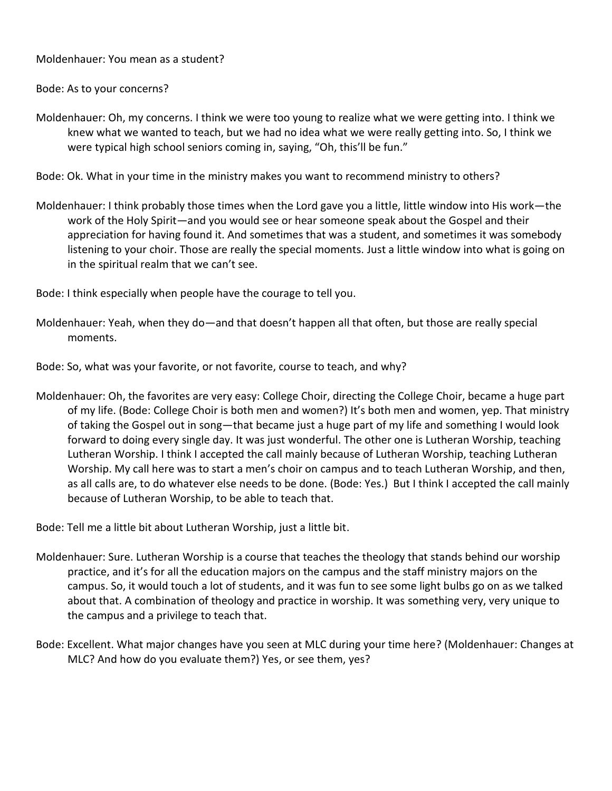Moldenhauer: You mean as a student?

Bode: As to your concerns?

Moldenhauer: Oh, my concerns. I think we were too young to realize what we were getting into. I think we knew what we wanted to teach, but we had no idea what we were really getting into. So, I think we were typical high school seniors coming in, saying, "Oh, this'll be fun."

Bode: Ok. What in your time in the ministry makes you want to recommend ministry to others?

- Moldenhauer: I think probably those times when the Lord gave you a little, little window into His work—the work of the Holy Spirit—and you would see or hear someone speak about the Gospel and their appreciation for having found it. And sometimes that was a student, and sometimes it was somebody listening to your choir. Those are really the special moments. Just a little window into what is going on in the spiritual realm that we can't see.
- Bode: I think especially when people have the courage to tell you.
- Moldenhauer: Yeah, when they do—and that doesn't happen all that often, but those are really special moments.
- Bode: So, what was your favorite, or not favorite, course to teach, and why?
- Moldenhauer: Oh, the favorites are very easy: College Choir, directing the College Choir, became a huge part of my life. (Bode: College Choir is both men and women?) It's both men and women, yep. That ministry of taking the Gospel out in song—that became just a huge part of my life and something I would look forward to doing every single day. It was just wonderful. The other one is Lutheran Worship, teaching Lutheran Worship. I think I accepted the call mainly because of Lutheran Worship, teaching Lutheran Worship. My call here was to start a men's choir on campus and to teach Lutheran Worship, and then, as all calls are, to do whatever else needs to be done. (Bode: Yes.) But I think I accepted the call mainly because of Lutheran Worship, to be able to teach that.

Bode: Tell me a little bit about Lutheran Worship, just a little bit.

- Moldenhauer: Sure. Lutheran Worship is a course that teaches the theology that stands behind our worship practice, and it's for all the education majors on the campus and the staff ministry majors on the campus. So, it would touch a lot of students, and it was fun to see some light bulbs go on as we talked about that. A combination of theology and practice in worship. It was something very, very unique to the campus and a privilege to teach that.
- Bode: Excellent. What major changes have you seen at MLC during your time here? (Moldenhauer: Changes at MLC? And how do you evaluate them?) Yes, or see them, yes?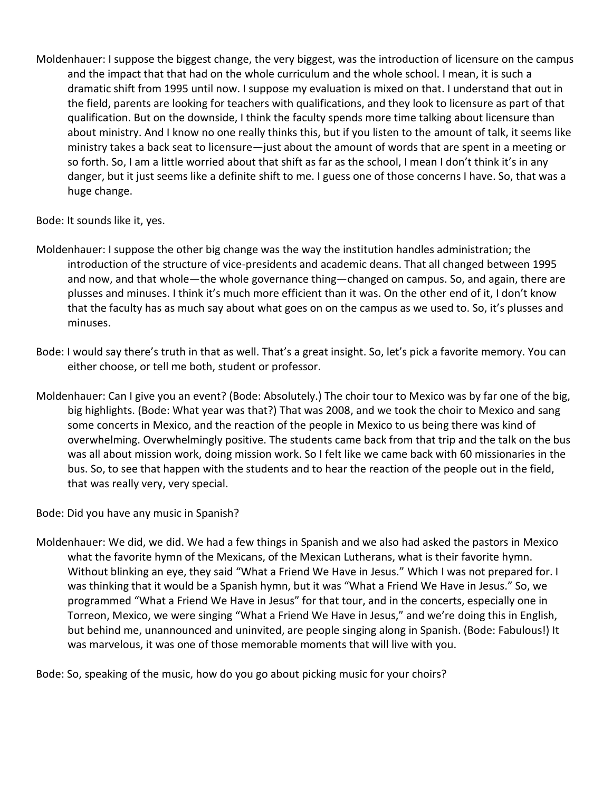Moldenhauer: I suppose the biggest change, the very biggest, was the introduction of licensure on the campus and the impact that that had on the whole curriculum and the whole school. I mean, it is such a dramatic shift from 1995 until now. I suppose my evaluation is mixed on that. I understand that out in the field, parents are looking for teachers with qualifications, and they look to licensure as part of that qualification. But on the downside, I think the faculty spends more time talking about licensure than about ministry. And I know no one really thinks this, but if you listen to the amount of talk, it seems like ministry takes a back seat to licensure—just about the amount of words that are spent in a meeting or so forth. So, I am a little worried about that shift as far as the school, I mean I don't think it's in any danger, but it just seems like a definite shift to me. I guess one of those concerns I have. So, that was a huge change.

Bode: It sounds like it, yes.

- Moldenhauer: I suppose the other big change was the way the institution handles administration; the introduction of the structure of vice-presidents and academic deans. That all changed between 1995 and now, and that whole—the whole governance thing—changed on campus. So, and again, there are plusses and minuses. I think it's much more efficient than it was. On the other end of it, I don't know that the faculty has as much say about what goes on on the campus as we used to. So, it's plusses and minuses.
- Bode: I would say there's truth in that as well. That's a great insight. So, let's pick a favorite memory. You can either choose, or tell me both, student or professor.
- Moldenhauer: Can I give you an event? (Bode: Absolutely.) The choir tour to Mexico was by far one of the big, big highlights. (Bode: What year was that?) That was 2008, and we took the choir to Mexico and sang some concerts in Mexico, and the reaction of the people in Mexico to us being there was kind of overwhelming. Overwhelmingly positive. The students came back from that trip and the talk on the bus was all about mission work, doing mission work. So I felt like we came back with 60 missionaries in the bus. So, to see that happen with the students and to hear the reaction of the people out in the field, that was really very, very special.

Bode: Did you have any music in Spanish?

Moldenhauer: We did, we did. We had a few things in Spanish and we also had asked the pastors in Mexico what the favorite hymn of the Mexicans, of the Mexican Lutherans, what is their favorite hymn. Without blinking an eye, they said "What a Friend We Have in Jesus." Which I was not prepared for. I was thinking that it would be a Spanish hymn, but it was "What a Friend We Have in Jesus." So, we programmed "What a Friend We Have in Jesus" for that tour, and in the concerts, especially one in Torreon, Mexico, we were singing "What a Friend We Have in Jesus," and we're doing this in English, but behind me, unannounced and uninvited, are people singing along in Spanish. (Bode: Fabulous!) It was marvelous, it was one of those memorable moments that will live with you.

Bode: So, speaking of the music, how do you go about picking music for your choirs?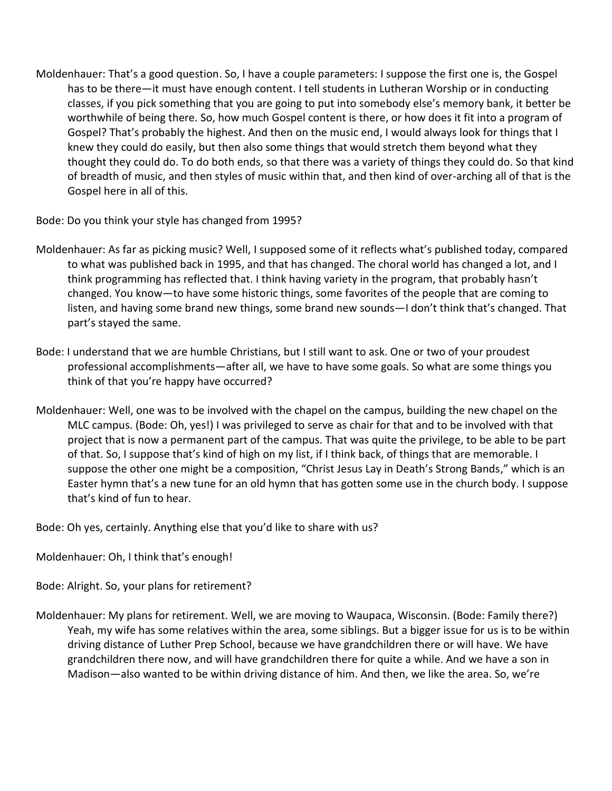Moldenhauer: That's a good question. So, I have a couple parameters: I suppose the first one is, the Gospel has to be there—it must have enough content. I tell students in Lutheran Worship or in conducting classes, if you pick something that you are going to put into somebody else's memory bank, it better be worthwhile of being there. So, how much Gospel content is there, or how does it fit into a program of Gospel? That's probably the highest. And then on the music end, I would always look for things that I knew they could do easily, but then also some things that would stretch them beyond what they thought they could do. To do both ends, so that there was a variety of things they could do. So that kind of breadth of music, and then styles of music within that, and then kind of over-arching all of that is the Gospel here in all of this.

Bode: Do you think your style has changed from 1995?

- Moldenhauer: As far as picking music? Well, I supposed some of it reflects what's published today, compared to what was published back in 1995, and that has changed. The choral world has changed a lot, and I think programming has reflected that. I think having variety in the program, that probably hasn't changed. You know—to have some historic things, some favorites of the people that are coming to listen, and having some brand new things, some brand new sounds—I don't think that's changed. That part's stayed the same.
- Bode: I understand that we are humble Christians, but I still want to ask. One or two of your proudest professional accomplishments—after all, we have to have some goals. So what are some things you think of that you're happy have occurred?
- Moldenhauer: Well, one was to be involved with the chapel on the campus, building the new chapel on the MLC campus. (Bode: Oh, yes!) I was privileged to serve as chair for that and to be involved with that project that is now a permanent part of the campus. That was quite the privilege, to be able to be part of that. So, I suppose that's kind of high on my list, if I think back, of things that are memorable. I suppose the other one might be a composition, "Christ Jesus Lay in Death's Strong Bands," which is an Easter hymn that's a new tune for an old hymn that has gotten some use in the church body. I suppose that's kind of fun to hear.

Bode: Oh yes, certainly. Anything else that you'd like to share with us?

Moldenhauer: Oh, I think that's enough!

Bode: Alright. So, your plans for retirement?

Moldenhauer: My plans for retirement. Well, we are moving to Waupaca, Wisconsin. (Bode: Family there?) Yeah, my wife has some relatives within the area, some siblings. But a bigger issue for us is to be within driving distance of Luther Prep School, because we have grandchildren there or will have. We have grandchildren there now, and will have grandchildren there for quite a while. And we have a son in Madison—also wanted to be within driving distance of him. And then, we like the area. So, we're